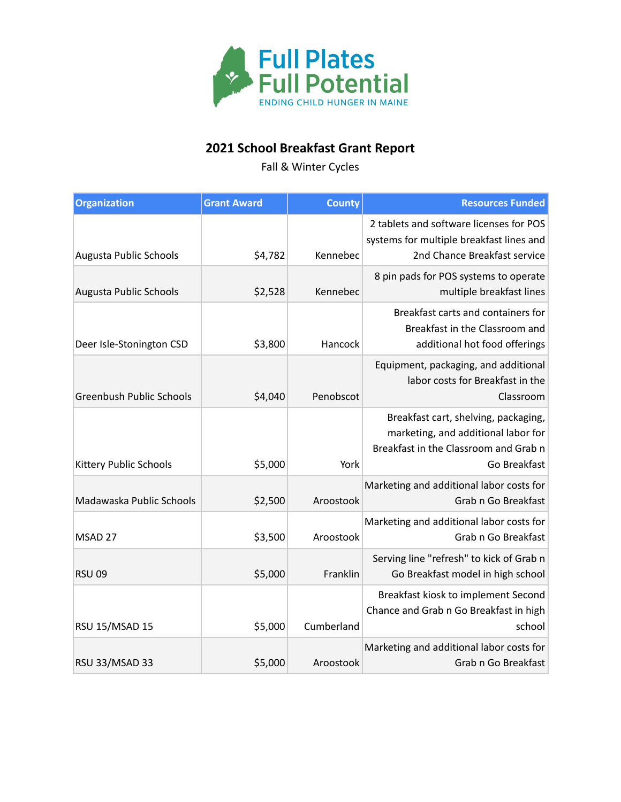

## **2021 School Breakfast Grant Report**

Fall & Winter Cycles

| <b>Organization</b>             | <b>Grant Award</b> | <b>County</b> | <b>Resources Funded</b>                                                                                                              |
|---------------------------------|--------------------|---------------|--------------------------------------------------------------------------------------------------------------------------------------|
| Augusta Public Schools          | \$4,782            | Kennebec      | 2 tablets and software licenses for POS<br>systems for multiple breakfast lines and<br>2nd Chance Breakfast service                  |
| Augusta Public Schools          | \$2,528            | Kennebec      | 8 pin pads for POS systems to operate<br>multiple breakfast lines                                                                    |
| Deer Isle-Stonington CSD        | \$3,800            | Hancock       | Breakfast carts and containers for<br>Breakfast in the Classroom and<br>additional hot food offerings                                |
| <b>Greenbush Public Schools</b> | \$4,040            | Penobscot     | Equipment, packaging, and additional<br>labor costs for Breakfast in the<br>Classroom                                                |
| Kittery Public Schools          | \$5,000            | York          | Breakfast cart, shelving, packaging,<br>marketing, and additional labor for<br>Breakfast in the Classroom and Grab n<br>Go Breakfast |
| Madawaska Public Schools        | \$2,500            | Aroostook     | Marketing and additional labor costs for<br>Grab n Go Breakfast                                                                      |
| MSAD 27                         | \$3,500            | Aroostook     | Marketing and additional labor costs for<br>Grab n Go Breakfast                                                                      |
| <b>RSU 09</b>                   | \$5,000            | Franklin      | Serving line "refresh" to kick of Grab n<br>Go Breakfast model in high school                                                        |
| <b>RSU 15/MSAD 15</b>           | \$5,000            | Cumberland    | Breakfast kiosk to implement Second<br>Chance and Grab n Go Breakfast in high<br>school                                              |
| <b>RSU 33/MSAD 33</b>           | \$5,000            | Aroostook     | Marketing and additional labor costs for<br>Grab n Go Breakfast                                                                      |